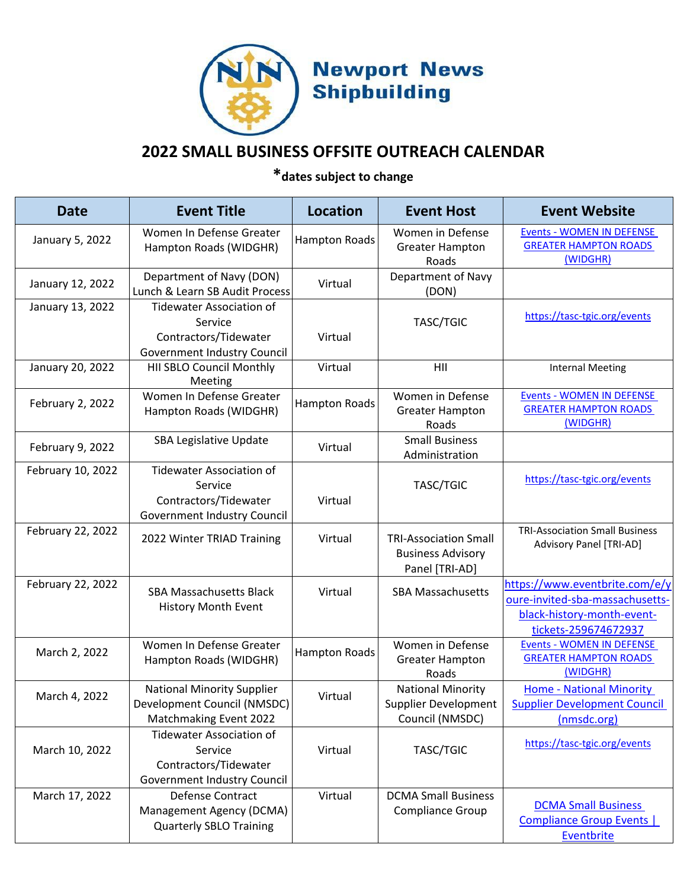

## **2022 SMALL BUSINESS OFFSITE OUTREACH CALENDAR**

**\*dates subject to change**

| <b>Date</b>       | <b>Event Title</b>                                                                                 | <b>Location</b>      | <b>Event Host</b>                                                          | <b>Event Website</b>                                                                                                    |
|-------------------|----------------------------------------------------------------------------------------------------|----------------------|----------------------------------------------------------------------------|-------------------------------------------------------------------------------------------------------------------------|
| January 5, 2022   | Women In Defense Greater<br>Hampton Roads (WIDGHR)                                                 | <b>Hampton Roads</b> | Women in Defense<br><b>Greater Hampton</b><br>Roads                        | <b>Events - WOMEN IN DEFENSE</b><br><b>GREATER HAMPTON ROADS</b><br>(WIDGHR)                                            |
| January 12, 2022  | Department of Navy (DON)<br>Lunch & Learn SB Audit Process                                         | Virtual              | Department of Navy<br>(DON)                                                |                                                                                                                         |
| January 13, 2022  | <b>Tidewater Association of</b><br>Service<br>Contractors/Tidewater<br>Government Industry Council | Virtual              | TASC/TGIC                                                                  | https://tasc-tgic.org/events                                                                                            |
| January 20, 2022  | HII SBLO Council Monthly<br>Meeting                                                                | Virtual              | HII                                                                        | <b>Internal Meeting</b>                                                                                                 |
| February 2, 2022  | Women In Defense Greater<br>Hampton Roads (WIDGHR)                                                 | <b>Hampton Roads</b> | Women in Defense<br><b>Greater Hampton</b><br>Roads                        | <b>Events - WOMEN IN DEFENSE</b><br><b>GREATER HAMPTON ROADS</b><br>(WIDGHR)                                            |
| February 9, 2022  | <b>SBA Legislative Update</b>                                                                      | Virtual              | <b>Small Business</b><br>Administration                                    |                                                                                                                         |
| February 10, 2022 | <b>Tidewater Association of</b><br>Service<br>Contractors/Tidewater<br>Government Industry Council | Virtual              | TASC/TGIC                                                                  | https://tasc-tgic.org/events                                                                                            |
| February 22, 2022 | 2022 Winter TRIAD Training                                                                         | Virtual              | <b>TRI-Association Small</b><br><b>Business Advisory</b><br>Panel [TRI-AD] | <b>TRI-Association Small Business</b><br>Advisory Panel [TRI-AD]                                                        |
| February 22, 2022 | <b>SBA Massachusetts Black</b><br><b>History Month Event</b>                                       | Virtual              | <b>SBA Massachusetts</b>                                                   | https://www.eventbrite.com/e/y<br>oure-invited-sba-massachusetts-<br>black-history-month-event-<br>tickets-259674672937 |
| March 2, 2022     | Women In Defense Greater<br>Hampton Roads (WIDGHR)                                                 | <b>Hampton Roads</b> | Women in Defense<br><b>Greater Hampton</b><br>Roads                        | <b>Events - WOMEN IN DEFENSE</b><br><b>GREATER HAMPTON ROADS</b><br>(WIDGHR)                                            |
| March 4, 2022     | <b>National Minority Supplier</b><br>Development Council (NMSDC)<br>Matchmaking Event 2022         | Virtual              | <b>National Minority</b><br>Supplier Development<br>Council (NMSDC)        | <b>Home - National Minority</b><br><b>Supplier Development Council</b><br>(nmsdc.org)                                   |
| March 10, 2022    | <b>Tidewater Association of</b><br>Service<br>Contractors/Tidewater<br>Government Industry Council | Virtual              | TASC/TGIC                                                                  | https://tasc-tgic.org/events                                                                                            |
| March 17, 2022    | Defense Contract<br>Management Agency (DCMA)<br><b>Quarterly SBLO Training</b>                     | Virtual              | <b>DCMA Small Business</b><br>Compliance Group                             | <b>DCMA Small Business</b><br><b>Compliance Group Events  </b><br>Eventbrite                                            |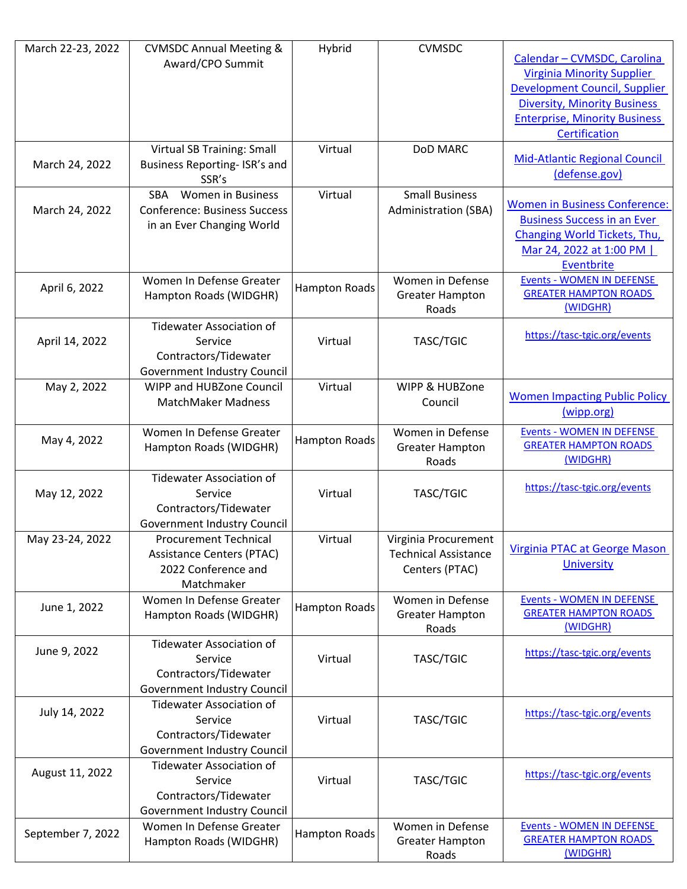| March 22-23, 2022 | <b>CVMSDC Annual Meeting &amp;</b>     | Hybrid               | <b>CVMSDC</b>               |                                          |
|-------------------|----------------------------------------|----------------------|-----------------------------|------------------------------------------|
|                   | Award/CPO Summit                       |                      |                             | Calendar - CVMSDC, Carolina              |
|                   |                                        |                      |                             | <b>Virginia Minority Supplier</b>        |
|                   |                                        |                      |                             | Development Council, Supplier            |
|                   |                                        |                      |                             | <b>Diversity, Minority Business</b>      |
|                   |                                        |                      |                             | <b>Enterprise, Minority Business</b>     |
|                   |                                        |                      |                             | Certification                            |
|                   | Virtual SB Training: Small             | Virtual              | DoD MARC                    |                                          |
| March 24, 2022    | Business Reporting- ISR's and          |                      |                             | <b>Mid-Atlantic Regional Council</b>     |
|                   | SSR's                                  |                      |                             | (defense.gov)                            |
|                   | <b>SBA</b><br><b>Women in Business</b> | Virtual              | <b>Small Business</b>       |                                          |
| March 24, 2022    | <b>Conference: Business Success</b>    |                      | <b>Administration (SBA)</b> | <b>Women in Business Conference:</b>     |
|                   | in an Ever Changing World              |                      |                             | <b>Business Success in an Ever</b>       |
|                   |                                        |                      |                             | Changing World Tickets, Thu,             |
|                   |                                        |                      |                             | Mar 24, 2022 at 1:00 PM                  |
|                   |                                        |                      |                             | Eventbrite                               |
| April 6, 2022     | Women In Defense Greater               | <b>Hampton Roads</b> | Women in Defense            | <b>Events - WOMEN IN DEFENSE</b>         |
|                   | Hampton Roads (WIDGHR)                 |                      | <b>Greater Hampton</b>      | <b>GREATER HAMPTON ROADS</b><br>(WIDGHR) |
|                   |                                        |                      | Roads                       |                                          |
|                   | <b>Tidewater Association of</b>        |                      |                             | https://tasc-tgic.org/events             |
| April 14, 2022    | Service                                | Virtual              | TASC/TGIC                   |                                          |
|                   | Contractors/Tidewater                  |                      |                             |                                          |
|                   | Government Industry Council            |                      |                             |                                          |
| May 2, 2022       | WIPP and HUBZone Council               | Virtual              | WIPP & HUBZone              | <b>Women Impacting Public Policy</b>     |
|                   | <b>MatchMaker Madness</b>              |                      | Council                     | (wipp.org)                               |
|                   |                                        |                      |                             |                                          |
| May 4, 2022       | Women In Defense Greater               | <b>Hampton Roads</b> | Women in Defense            | <b>Events - WOMEN IN DEFENSE</b>         |
|                   | Hampton Roads (WIDGHR)                 |                      | <b>Greater Hampton</b>      | <b>GREATER HAMPTON ROADS</b>             |
|                   |                                        |                      | Roads                       | (WIDGHR)                                 |
|                   | <b>Tidewater Association of</b>        |                      |                             | https://tasc-tgic.org/events             |
| May 12, 2022      | Service                                | Virtual              | TASC/TGIC                   |                                          |
|                   | Contractors/Tidewater                  |                      |                             |                                          |
|                   | Government Industry Council            |                      |                             |                                          |
| May 23-24, 2022   | <b>Procurement Technical</b>           | Virtual              | Virginia Procurement        |                                          |
|                   | <b>Assistance Centers (PTAC)</b>       |                      | <b>Technical Assistance</b> | Virginia PTAC at George Mason            |
|                   | 2022 Conference and                    |                      | Centers (PTAC)              | <b>University</b>                        |
|                   | Matchmaker                             |                      |                             |                                          |
|                   | Women In Defense Greater               |                      | Women in Defense            | <b>Events - WOMEN IN DEFENSE</b>         |
| June 1, 2022      | Hampton Roads (WIDGHR)                 | Hampton Roads        | <b>Greater Hampton</b>      | <b>GREATER HAMPTON ROADS</b>             |
|                   |                                        |                      | Roads                       | (WIDGHR)                                 |
| June 9, 2022      | <b>Tidewater Association of</b>        |                      |                             |                                          |
|                   | Service                                | Virtual              | TASC/TGIC                   | https://tasc-tgic.org/events             |
|                   | Contractors/Tidewater                  |                      |                             |                                          |
|                   | Government Industry Council            |                      |                             |                                          |
|                   | <b>Tidewater Association of</b>        |                      |                             |                                          |
| July 14, 2022     | Service                                | Virtual              | TASC/TGIC                   | https://tasc-tgic.org/events             |
|                   | Contractors/Tidewater                  |                      |                             |                                          |
|                   | Government Industry Council            |                      |                             |                                          |
|                   | <b>Tidewater Association of</b>        |                      |                             |                                          |
| August 11, 2022   | Service                                | Virtual              | TASC/TGIC                   | https://tasc-tgic.org/events             |
|                   | Contractors/Tidewater                  |                      |                             |                                          |
|                   | Government Industry Council            |                      |                             |                                          |
|                   | Women In Defense Greater               |                      | Women in Defense            | <b>Events - WOMEN IN DEFENSE</b>         |
| September 7, 2022 | Hampton Roads (WIDGHR)                 | Hampton Roads        | <b>Greater Hampton</b>      | <b>GREATER HAMPTON ROADS</b>             |
|                   |                                        |                      | Roads                       | (WIDGHR)                                 |